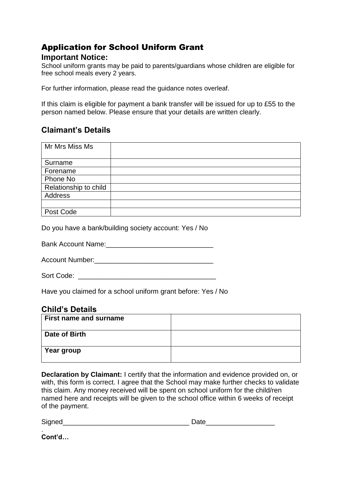# Application for School Uniform Grant

#### **Important Notice:**

School uniform grants may be paid to parents/guardians whose children are eligible for free school meals every 2 years.

For further information, please read the guidance notes overleaf.

If this claim is eligible for payment a bank transfer will be issued for up to £55 to the person named below. Please ensure that your details are written clearly.

# **Claimant's Details**

| Mr Mrs Miss Ms        |  |
|-----------------------|--|
|                       |  |
| Surname               |  |
| Forename              |  |
| Phone No              |  |
| Relationship to child |  |
| Address               |  |
|                       |  |
| Post Code             |  |

Do you have a bank/building society account: Yes / No

Bank Account Name:  $\Box$ 

Account Number:\_\_\_\_\_\_\_\_\_\_\_\_\_\_\_\_\_\_\_\_\_\_\_\_\_\_\_\_\_\_\_

Sort Code:  $\Box$ 

Have you claimed for a school uniform grant before: Yes / No

## **Child's Details**

| <b>First name and surname</b> |  |
|-------------------------------|--|
| Date of Birth                 |  |
| Year group                    |  |

**Declaration by Claimant:** I certify that the information and evidence provided on, or with, this form is correct. I agree that the School may make further checks to validate this claim. Any money received will be spent on school uniform for the child/ren named here and receipts will be given to the school office within 6 weeks of receipt of the payment.

Signed\_\_\_\_\_\_\_\_\_\_\_\_\_\_\_\_\_\_\_\_\_\_\_\_\_\_\_\_\_\_\_\_\_ Date\_\_\_\_\_\_\_\_\_\_\_\_\_\_\_\_\_\_

. **Cont'd…**